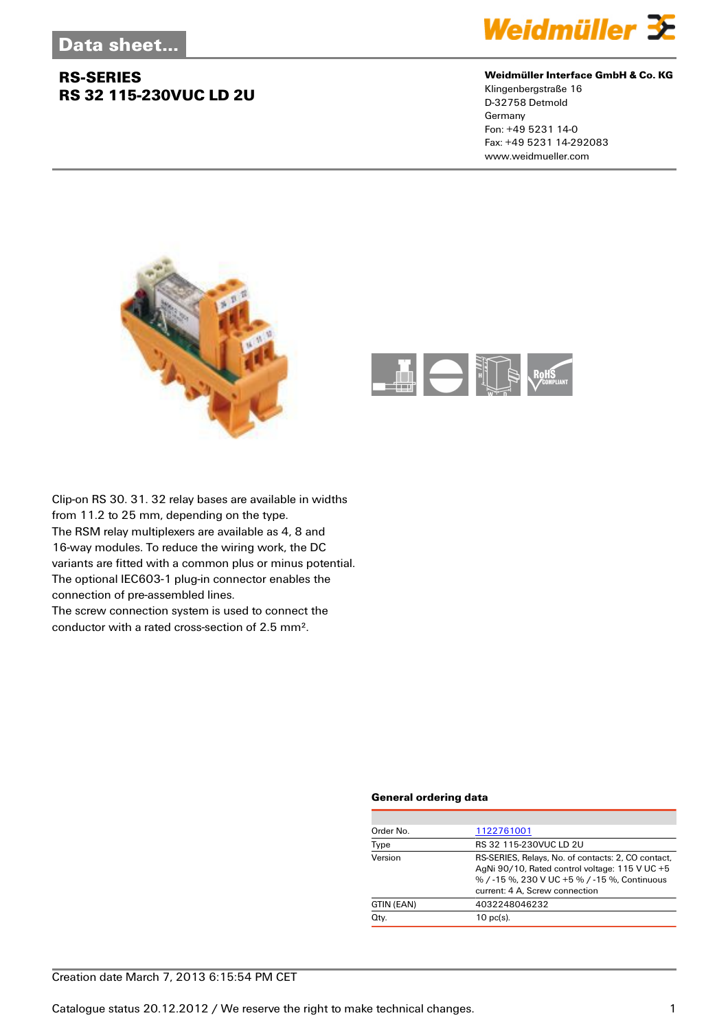

#### **Weidmüller Interface GmbH & Co. KG**

Klingenbergstraße 16 D-32758 Detmold Germany Fon: +49 5231 14-0 Fax: +49 5231 14-292083 www.weidmueller.com





Clip-on RS 30. 31. 32 relay bases are available in widths from 11.2 to 25 mm, depending on the type. The RSM relay multiplexers are available as 4, 8 and 16-way modules. To reduce the wiring work, the DC variants are fitted with a common plus or minus potential. The optional IEC603-1 plug-in connector enables the connection of pre-assembled lines. The screw connection system is used to connect the

conductor with a rated cross-section of 2.5 mm².

#### **General ordering data**

| Order No.  | 1122761001                                                                                                                                                                             |  |
|------------|----------------------------------------------------------------------------------------------------------------------------------------------------------------------------------------|--|
| Type       | RS 32 115-230VUC LD 2U                                                                                                                                                                 |  |
| Version    | RS-SERIES, Relays, No. of contacts: 2, CO contact,<br>AgNi 90/10, Rated control voltage: 115 V UC +5<br>% / -15 %, 230 V UC +5 % / -15 %, Continuous<br>current: 4 A, Screw connection |  |
| GTIN (EAN) | 4032248046232                                                                                                                                                                          |  |
| Qty.       | $10$ pc(s).                                                                                                                                                                            |  |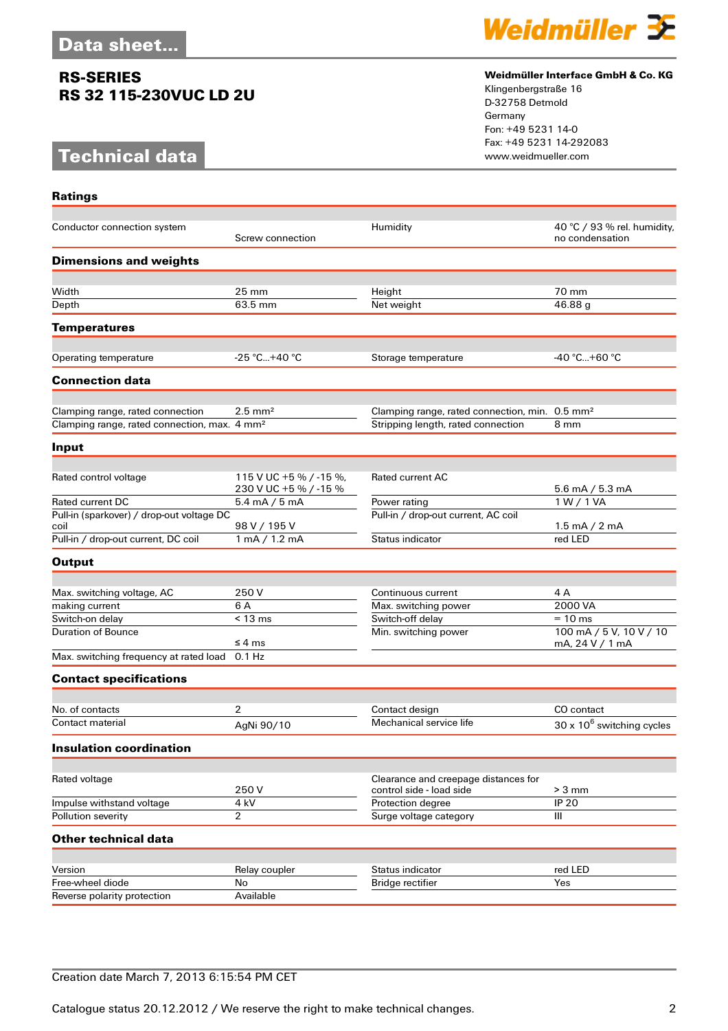# **Technical data**

**Ratings**



#### **Weidmüller Interface GmbH & Co. KG**

Klingenbergstraße 16 D-32758 Detmold Germany Fon: +49 5231 14-0 Fax: +49 5231 14-292083

| Conductor connection system                              | Screw connection                                | Humidity                                                   | 40 °C / 93 % rel. humidity,<br>no condensation |
|----------------------------------------------------------|-------------------------------------------------|------------------------------------------------------------|------------------------------------------------|
| <b>Dimensions and weights</b>                            |                                                 |                                                            |                                                |
|                                                          |                                                 |                                                            |                                                |
| Width                                                    | $25 \text{ mm}$                                 | Height                                                     | 70 mm                                          |
| Depth                                                    | 63.5 mm                                         | Net weight                                                 | 46.88 g                                        |
| <b>Temperatures</b>                                      |                                                 |                                                            |                                                |
| Operating temperature                                    | $-25 °C+40 °C$                                  | Storage temperature                                        | $-40 °C+60 °C$                                 |
| <b>Connection data</b>                                   |                                                 |                                                            |                                                |
|                                                          |                                                 |                                                            |                                                |
| Clamping range, rated connection                         | $2.5$ mm <sup>2</sup>                           | Clamping range, rated connection, min. 0.5 mm <sup>2</sup> |                                                |
| Clamping range, rated connection, max. 4 mm <sup>2</sup> |                                                 | Stripping length, rated connection                         | 8 mm                                           |
| Input                                                    |                                                 |                                                            |                                                |
|                                                          |                                                 |                                                            |                                                |
| Rated control voltage                                    | 115 V UC +5 % / -15 %.<br>230 V UC +5 % / -15 % | <b>Rated current AC</b>                                    | $5.6$ mA / $5.3$ mA                            |
| <b>Rated current DC</b>                                  | $5.4 \text{ mA} / 5 \text{ mA}$                 | Power rating                                               | 1 W / 1 VA                                     |
| Pull-in (sparkover) / drop-out voltage DC                |                                                 | Pull-in / drop-out current, AC coil                        |                                                |
| coil                                                     | 98 V / 195 V                                    |                                                            | 1.5 mA / 2 mA                                  |
| Pull-in / drop-out current, DC coil                      | 1 mA / 1.2 mA                                   | Status indicator                                           | red LED                                        |
| <b>Output</b>                                            |                                                 |                                                            |                                                |
|                                                          |                                                 |                                                            |                                                |
| Max. switching voltage, AC                               | 250 V                                           | Continuous current                                         | 4A                                             |
| making current                                           | 6 A                                             | Max. switching power                                       | 2000 VA                                        |
| Switch-on delay                                          | < 13 ms                                         | Switch-off delay                                           | $= 10$ ms                                      |
| <b>Duration of Bounce</b>                                | ≤ 4 ms                                          | Min. switching power                                       | 100 mA / 5 V, 10 V / 10<br>mA, 24 V / 1 mA     |
| Max. switching frequency at rated load                   | $0.1$ Hz                                        |                                                            |                                                |
| <b>Contact specifications</b>                            |                                                 |                                                            |                                                |
|                                                          |                                                 |                                                            |                                                |
| No. of contacts                                          | $\overline{2}$                                  | Contact design                                             | CO contact                                     |
| Contact material                                         | AgNi 90/10                                      | Mechanical service life                                    | $30 \times 10^6$ switching cycles              |
| <b>Insulation coordination</b>                           |                                                 |                                                            |                                                |
| Rated voltage                                            |                                                 | Clearance and creepage distances for                       |                                                |
|                                                          | 250V                                            | control side - load side                                   | $> 3$ mm                                       |
| Impulse withstand voltage                                | 4 kV                                            | Protection degree                                          | <b>IP 20</b>                                   |
| Pollution severity                                       | $\overline{2}$                                  | Surge voltage category                                     | Ш                                              |
| <b>Other technical data</b>                              |                                                 |                                                            |                                                |
|                                                          |                                                 |                                                            |                                                |
| Version                                                  | Relay coupler                                   | Status indicator                                           | red LED                                        |
| Free-wheel diode                                         | No                                              | <b>Bridge rectifier</b>                                    | Yes                                            |
| Reverse polarity protection                              | Available                                       |                                                            |                                                |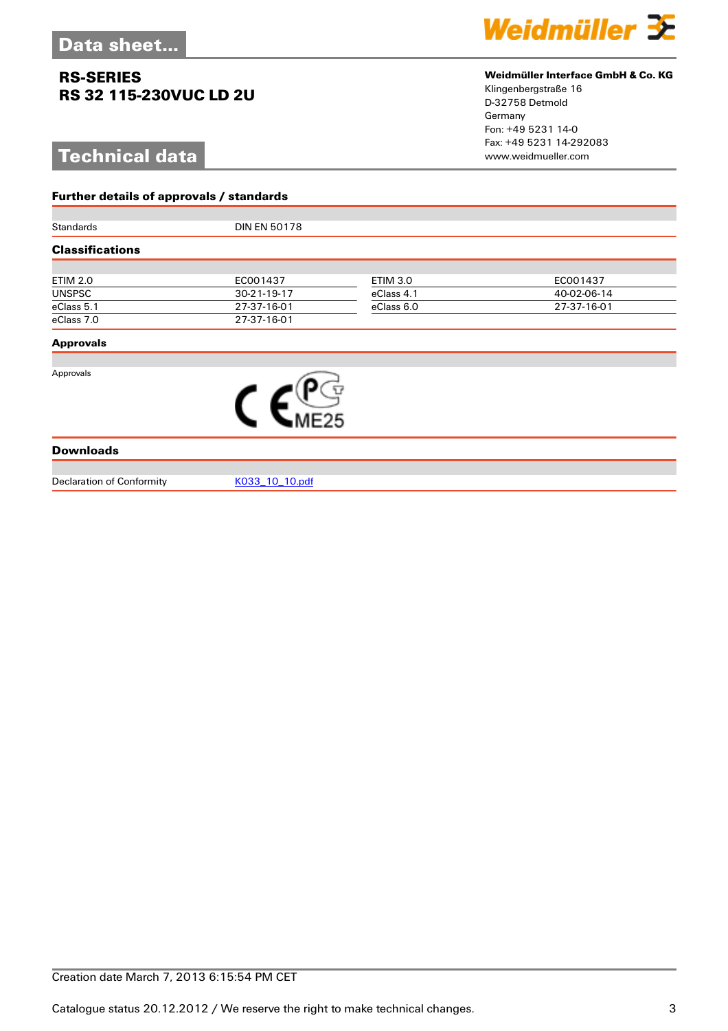**Further details of approvals / standards**

# **Technical data**



### **Weidmüller Interface GmbH & Co. KG**

Klingenbergstraße 16 D-32758 Detmold Germany Fon: +49 5231 14-0 Fax: +49 5231 14-292083

| Standards              |             | <b>DIN EN 50178</b> |             |  |  |
|------------------------|-------------|---------------------|-------------|--|--|
| <b>Classifications</b> |             |                     |             |  |  |
|                        |             |                     |             |  |  |
| <b>ETIM 2.0</b>        | EC001437    | <b>ETIM 3.0</b>     | EC001437    |  |  |
| <b>UNSPSC</b>          | 30-21-19-17 | eClass 4.1          | 40-02-06-14 |  |  |
| eClass 5.1             | 27-37-16-01 | eClass 6.0          | 27-37-16-01 |  |  |
| eClass 7.0             | 27-37-16-01 |                     |             |  |  |
| <b>Approvals</b>       |             |                     |             |  |  |
|                        |             |                     |             |  |  |
| Approvals              | E25         |                     |             |  |  |
| <b>Downloads</b>       |             |                     |             |  |  |

Declaration of Conformity [K033\\_10\\_10.pdf](http://catalog.weidmueller.com/assets/PDF/K033_10_10.pdf)